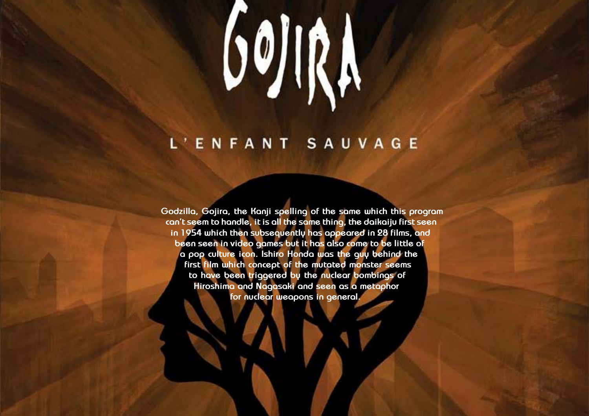# 

# L'ENFANT SAUVAGE

**Godzilla, Gojira, the Kanji spelling of the same which this program can't seem to handle, it is all the same thing, the daikaiju first seen in 1954 which then subsequently has appeared in 28 films, and been seen in video games but it has also come to be little of a pop culture icon. Ishiro Honda was the guy behind the first film which concept of the mutated monster seems to have been triggered by the nuclear bombings of Hiroshima and Nagasaki and seen as a metaphor for nuclear weapons in general.**

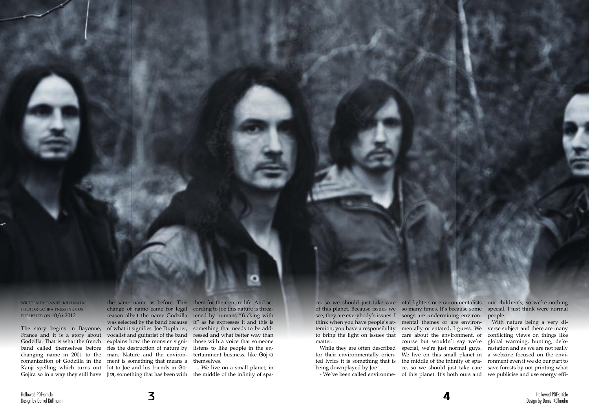

written by daniel källmalm photos: gojira press photos published on 10/6-2012

band called themselves before changing name in 2001 to the Gojira so in a way they still have  $\;$  jira, something that has been with  $\;$  the middle of the infinity of spa-

The story begins in Bayonne, of what it signifies. Joe Duplatier, France and it is a story about vocalist and guitarist of the band Godzilla. That is what the french explains how the monster signiromanization of Godzilla in the ment is something that means a themselves. Kanji spelling which turns out lot to Joe and his friends in Gochange of name came for legal reason albeit the name Godzilla was selected by the band because fies the destruction of nature by man. Nature and the environ-

ce, so we should just take care ntal fighters or environmentalists our children's, so we're nothing see, they are everybody's issues. I songs are undermining environthink when you have people's at-mental themes or are environtention; you have a responsibility to bring the light on issues that care about the environment, of matter.

the same name as before. This them for their entire life. And according to Joe this nature is threatened by humans "fucking with it" as he expresses it and this is something that needs to be addressed and what better way than those with a voice that someone listens to like people in the entertainment business, like Gojira

- We've been called environme- of this planet. It's both ours and we publicise and use energy efficourse but wouldn't say we're We live on this small planet in a webzine focused on the envi-

- We live on a small planet, in

While they are often described for their environmentally oriented lyrics it is something that is being downplayed by Joe

of this planet. Because issues we so many times. It's because some special, I just think were normal people.

> mentally orientated, I guess. We verse subject and there are many special, we're just normal guys. restation and as we are not really the middle of the infinity of spa-ronment even if we do our part to ce, so we should just take care save forests by not printing what With nature being a very diconflicting views on things like global warming, hunting, defo-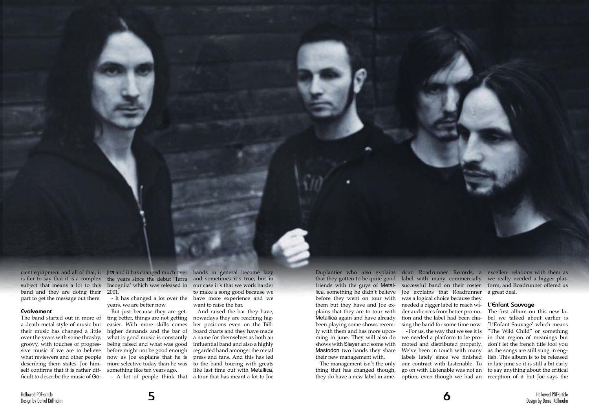band and they are doing their 2001. part to get the message out there.

### **Evolvement**

The band started out in more of a death metal style of music but their music has changed a little over the years with some thrashy, groovy, with touches of progressive music if we are to believe what reviewers and other people describing them states. Joe himself confirms that it is rather difficult to describe the music of Go-

cient equipment and all of that, it jira and it has changed much over bands in general become lazy is fair to say that it is a complex the years since the debut 'Terra and sometimes it's true, but in subject that means a lot to this Incognita' which was released in our case it´s that we work harder

> - It has changed a lot over the years, we are better now.

But just because they are getting better, things are not getting easier. With more skills comes higher demands and the bar of what is good music is constantly being raised and what was good before might not be good enough now as Joe explains that he is more selective today than he was something like ten years ago.

Duplantier who also explains rican Roadrunner Records, a excellent relations with them as that they gotten to be quite good friends with the guys of Metallica, something he didn't believe Joe explains that Roadrunner a great deal. before they went on tour with them but they have and Joe explains that they are to tour with Metallica again and have already been playing some shows recent-sing the band for some time now. ly with them and has more upcoming in june. They will also do shows with Slayer and some with Mastodon two bands they share We've been in touch with many their new management with.

- A lot of people think that

to make a song good because we have more experience and we want to raise the bar.

And raised the bar they have, nowadays they are reaching higher positions even on the Billboard charts and they have made a name for themselves as both an influential band and also a highly regarded band amongst the metal press and fans. And this has led to the band touring with greats like last time out with Metallica, a tour that has meant a lot to Joe

thing that has changed though, they do have a new label in ame-

The management isn't the only our contract with Listenable. To label with many commercially we really needed a bigger platwas a logical choice because they needed a bigger label to reach wider audiences from better promotion and the label had been cha-- For us, the way that we see it is we needed a platform to be promoted and distributed properly. labels lately since we finished go on with Listenable was not an option, even though we had an

successful band on their roster. form, and Roadrunner offered us

## **L'Enfant Sauvage**

The first album on this new label we talked about earlier is 'L'Enfant Sauvage' which means "The Wild Child" or something in that region of meanings but don't let the french title fool you as the songs are still sung in english. This album is to be released in late june so it is still a bit early to say anything about the critical reception of it but Joe says the